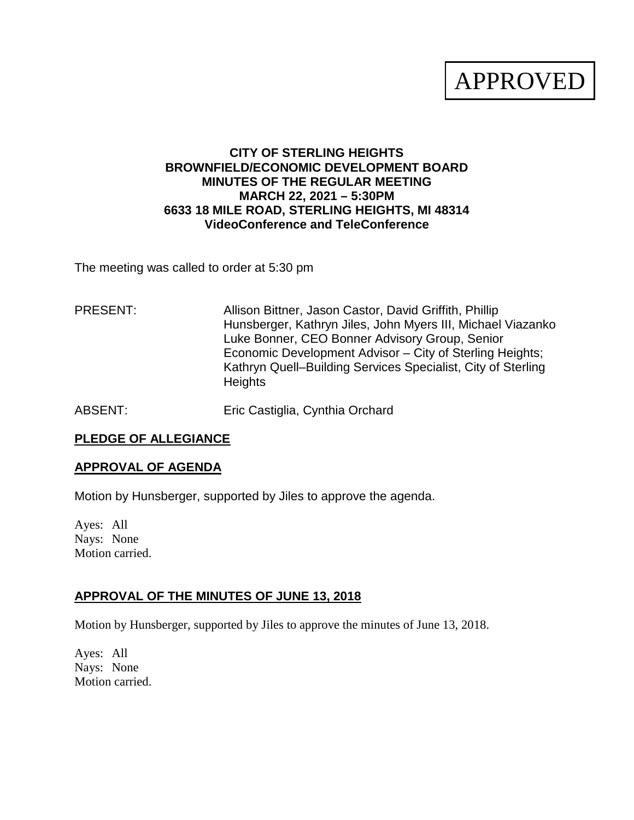# APPROVED

## **CITY OF STERLING HEIGHTS BROWNFIELD/ECONOMIC DEVELOPMENT BOARD MINUTES OF THE REGULAR MEETING MARCH 22, 2021 – 5:30PM 6633 18 MILE ROAD, STERLING HEIGHTS, MI 48314 VideoConference and TeleConference**

The meeting was called to order at 5:30 pm

## PRESENT: Allison Bittner, Jason Castor, David Griffith, Phillip Hunsberger, Kathryn Jiles, John Myers III, Michael Viazanko Luke Bonner, CEO Bonner Advisory Group, Senior Economic Development Advisor – City of Sterling Heights; Kathryn Quell–Building Services Specialist, City of Sterling **Heights**

ABSENT: Eric Castiglia, Cynthia Orchard

## **PLEDGE OF ALLEGIANCE**

## **APPROVAL OF AGENDA**

Motion by Hunsberger, supported by Jiles to approve the agenda.

Ayes: All Nays: None Motion carried.

## **APPROVAL OF THE MINUTES OF JUNE 13, 2018**

Motion by Hunsberger, supported by Jiles to approve the minutes of June 13, 2018.

Ayes: All Nays: None Motion carried.